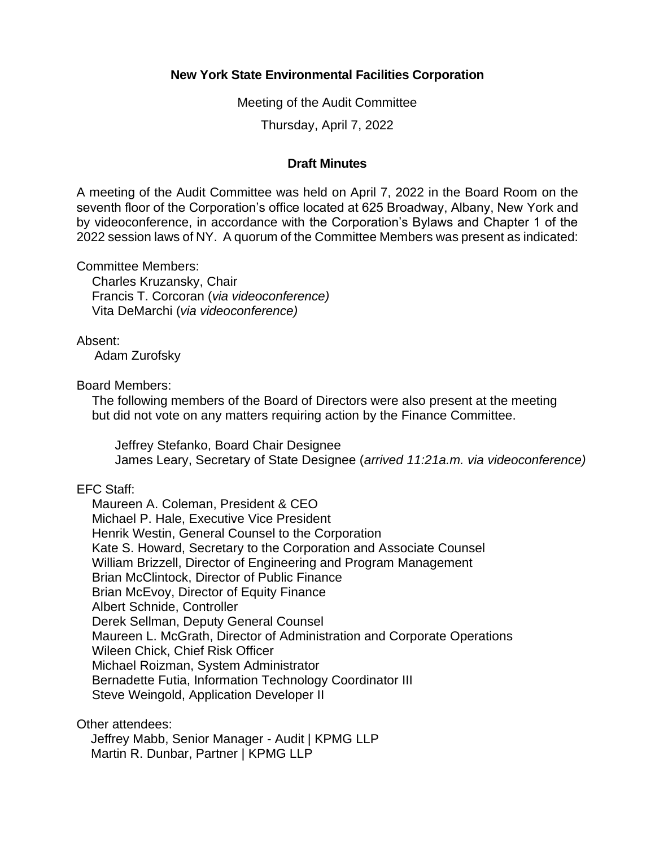## **New York State Environmental Facilities Corporation**

Meeting of the Audit Committee

Thursday, April 7, 2022

## **Draft Minutes**

 A meeting of the Audit Committee was held on April 7, 2022 in the Board Room on the seventh floor of the Corporation's office located at 625 Broadway, Albany, New York and by videoconference, in accordance with the Corporation's Bylaws and Chapter 1 of the 2022 session laws of NY. A quorum of the Committee Members was present as indicated:

Committee Members:

Charles Kruzansky, Chair Francis T. Corcoran (*via videoconference)*  Vita DeMarchi (*via videoconference)* 

## Absent:

Adam Zurofsky

Board Members:

 The following members of the Board of Directors were also present at the meeting but did not vote on any matters requiring action by the Finance Committee.

Jeffrey Stefanko, Board Chair Designee James Leary, Secretary of State Designee (*arrived 11:21a.m. via videoconference)* 

## EFC Staff:

 Kate S. Howard, Secretary to the Corporation and Associate Counsel Maureen A. Coleman, President & CEO Michael P. Hale, Executive Vice President Henrik Westin, General Counsel to the Corporation William Brizzell, Director of Engineering and Program Management Brian McClintock, Director of Public Finance Brian McEvoy, Director of Equity Finance Albert Schnide, Controller Derek Sellman, Deputy General Counsel Maureen L. McGrath, Director of Administration and Corporate Operations Wileen Chick, Chief Risk Officer Michael Roizman, System Administrator Bernadette Futia, Information Technology Coordinator III Steve Weingold, Application Developer II

Other attendees:

Jeffrey Mabb, Senior Manager - Audit | KPMG LLP Martin R. Dunbar, Partner | KPMG LLP